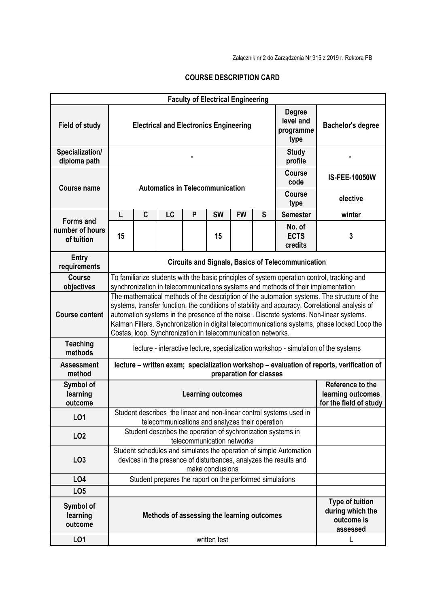Załącznik nr 2 do Zarządzenia Nr 915 z 2019 r. Rektora PB

## **COURSE DESCRIPTION CARD**

|                                  |                                                                                                                                                                                                                                                                                                                                                                                                                                                          |                                                                                                                                                             |                                                 |   | <b>Faculty of Electrical Engineering</b> |                                                                 |                                                                      |                                                                     |                          |  |  |
|----------------------------------|----------------------------------------------------------------------------------------------------------------------------------------------------------------------------------------------------------------------------------------------------------------------------------------------------------------------------------------------------------------------------------------------------------------------------------------------------------|-------------------------------------------------------------------------------------------------------------------------------------------------------------|-------------------------------------------------|---|------------------------------------------|-----------------------------------------------------------------|----------------------------------------------------------------------|---------------------------------------------------------------------|--------------------------|--|--|
| <b>Field of study</b>            |                                                                                                                                                                                                                                                                                                                                                                                                                                                          | <b>Electrical and Electronics Engineering</b>                                                                                                               |                                                 |   |                                          |                                                                 |                                                                      | <b>Degree</b><br>level and<br>programme<br>type                     | <b>Bachelor's degree</b> |  |  |
| Specialization/<br>diploma path  |                                                                                                                                                                                                                                                                                                                                                                                                                                                          |                                                                                                                                                             |                                                 |   |                                          |                                                                 |                                                                      | <b>Study</b><br>profile                                             |                          |  |  |
| <b>Course name</b>               |                                                                                                                                                                                                                                                                                                                                                                                                                                                          | <b>Automatics in Telecommunication</b>                                                                                                                      | <b>IS-FEE-10050W</b>                            |   |                                          |                                                                 |                                                                      |                                                                     |                          |  |  |
|                                  |                                                                                                                                                                                                                                                                                                                                                                                                                                                          |                                                                                                                                                             |                                                 |   |                                          |                                                                 |                                                                      | Course<br>type                                                      | elective                 |  |  |
| <b>Forms and</b>                 | L                                                                                                                                                                                                                                                                                                                                                                                                                                                        | C                                                                                                                                                           | LC                                              | P | <b>SW</b>                                | <b>FW</b>                                                       | S                                                                    | <b>Semester</b>                                                     | winter                   |  |  |
| number of hours<br>of tuition    | 15                                                                                                                                                                                                                                                                                                                                                                                                                                                       |                                                                                                                                                             |                                                 |   | 15                                       |                                                                 |                                                                      | No. of<br><b>ECTS</b><br>credits                                    | 3                        |  |  |
| <b>Entry</b><br>requirements     |                                                                                                                                                                                                                                                                                                                                                                                                                                                          | <b>Circuits and Signals, Basics of Telecommunication</b>                                                                                                    |                                                 |   |                                          |                                                                 |                                                                      |                                                                     |                          |  |  |
| <b>Course</b><br>objectives      | To familiarize students with the basic principles of system operation control, tracking and<br>synchronization in telecommunications systems and methods of their implementation                                                                                                                                                                                                                                                                         |                                                                                                                                                             |                                                 |   |                                          |                                                                 |                                                                      |                                                                     |                          |  |  |
| <b>Course content</b>            | The mathematical methods of the description of the automation systems. The structure of the<br>systems, transfer function, the conditions of stability and accuracy. Correlational analysis of<br>automation systems in the presence of the noise. Discrete systems. Non-linear systems.<br>Kalman Filters. Synchronization in digital telecommunications systems, phase locked Loop the<br>Costas, loop. Synchronization in telecommunication networks. |                                                                                                                                                             |                                                 |   |                                          |                                                                 |                                                                      |                                                                     |                          |  |  |
| <b>Teaching</b><br>methods       | lecture - interactive lecture, specialization workshop - simulation of the systems                                                                                                                                                                                                                                                                                                                                                                       |                                                                                                                                                             |                                                 |   |                                          |                                                                 |                                                                      |                                                                     |                          |  |  |
| <b>Assessment</b><br>method      | lecture - written exam; specialization workshop - evaluation of reports, verification of<br>preparation for classes                                                                                                                                                                                                                                                                                                                                      |                                                                                                                                                             |                                                 |   |                                          |                                                                 |                                                                      |                                                                     |                          |  |  |
| Symbol of<br>learning<br>outcome | <b>Learning outcomes</b>                                                                                                                                                                                                                                                                                                                                                                                                                                 |                                                                                                                                                             |                                                 |   |                                          | Reference to the<br>learning outcomes<br>for the field of study |                                                                      |                                                                     |                          |  |  |
| LO <sub>1</sub>                  |                                                                                                                                                                                                                                                                                                                                                                                                                                                          |                                                                                                                                                             | telecommunications and analyzes their operation |   |                                          |                                                                 |                                                                      | Student describes the linear and non-linear control systems used in |                          |  |  |
| LO <sub>2</sub>                  |                                                                                                                                                                                                                                                                                                                                                                                                                                                          |                                                                                                                                                             |                                                 |   | telecommunication networks               |                                                                 |                                                                      | Student describes the operation of sychronization systems in        |                          |  |  |
| LO <sub>3</sub>                  |                                                                                                                                                                                                                                                                                                                                                                                                                                                          | Student schedules and simulates the operation of simple Automation<br>devices in the presence of disturbances, analyzes the results and<br>make conclusions |                                                 |   |                                          |                                                                 |                                                                      |                                                                     |                          |  |  |
| <b>LO4</b>                       |                                                                                                                                                                                                                                                                                                                                                                                                                                                          | Student prepares the raport on the performed simulations                                                                                                    |                                                 |   |                                          |                                                                 |                                                                      |                                                                     |                          |  |  |
| LO <sub>5</sub>                  |                                                                                                                                                                                                                                                                                                                                                                                                                                                          |                                                                                                                                                             |                                                 |   |                                          |                                                                 |                                                                      |                                                                     |                          |  |  |
| Symbol of<br>learning<br>outcome | Methods of assessing the learning outcomes                                                                                                                                                                                                                                                                                                                                                                                                               |                                                                                                                                                             |                                                 |   |                                          |                                                                 | <b>Type of tuition</b><br>during which the<br>outcome is<br>assessed |                                                                     |                          |  |  |
| LO1                              |                                                                                                                                                                                                                                                                                                                                                                                                                                                          |                                                                                                                                                             |                                                 |   | written test                             |                                                                 |                                                                      |                                                                     | L                        |  |  |